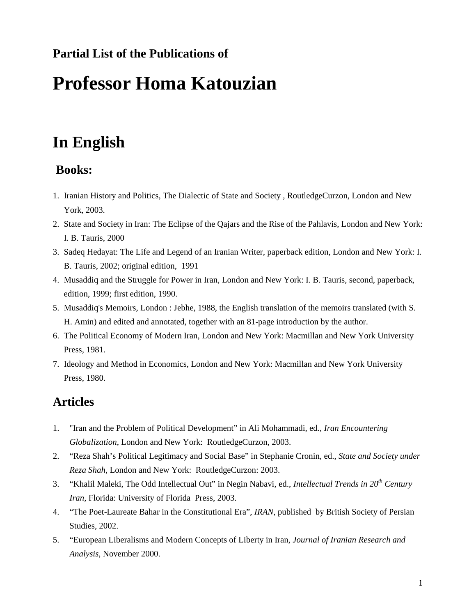#### **Partial List of the Publications of**

# **Professor Homa Katouzian**

## **In English**

#### **Books:**

- 1. Iranian History and Politics, The Dialectic of State and Society , RoutledgeCurzon, London and New York, 2003.
- 2. State and Society in Iran: The Eclipse of the Qajars and the Rise of the Pahlavis, London and New York: I. B. Tauris, 2000
- 3. Sadeq Hedayat: The Life and Legend of an Iranian Writer, paperback edition, London and New York: I. B. Tauris, 2002; original edition, 1991
- 4. Musaddiq and the Struggle for Power in Iran, London and New York: I. B. Tauris, second, paperback, edition, 1999; first edition, 1990.
- 5. Musaddiq's Memoirs, London : Jebhe, 1988, the English translation of the memoirs translated (with S. H. Amin) and edited and annotated, together with an 81-page introduction by the author.
- 6. The Political Economy of Modern Iran, London and New York: Macmillan and New York University Press, 1981.
- 7. Ideology and Method in Economics, London and New York: Macmillan and New York University Press, 1980.

#### **Articles**

- 1. "Iran and the Problem of Political Development" in Ali Mohammadi, ed., *Iran Encountering Globalization*, London and New York: RoutledgeCurzon, 2003.
- 2. "Reza Shah's Political Legitimacy and Social Base" in Stephanie Cronin, ed., *State and Society under Reza Shah*, London and New York: RoutledgeCurzon: 2003.
- 3. "Khalil Maleki, The Odd Intellectual Out" in Negin Nabavi, ed., *Intellectual Trends in 20th Century Iran,* Florida: University of Florida Press, 2003.
- 4. "The Poet-Laureate Bahar in the Constitutional Era", *IRAN*, published by British Society of Persian Studies, 2002.
- 5. "European Liberalisms and Modern Concepts of Liberty in Iran, *Journal of Iranian Research and Analysis*, November 2000.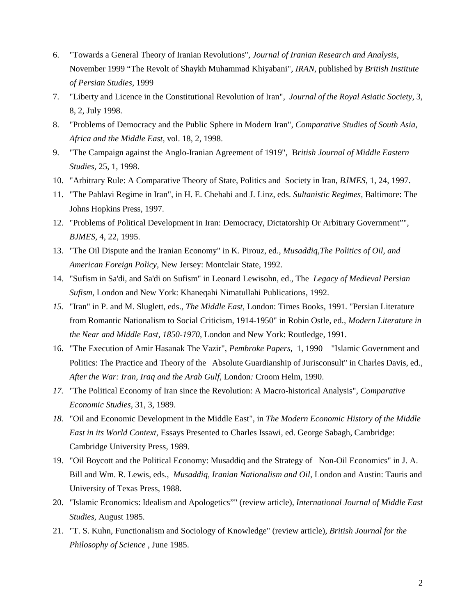- 6. "Towards a General Theory of Iranian Revolutions", *Journal of Iranian Research and Analysis*, November 1999 "The Revolt of Shaykh Muhammad Khiyabani", *IRAN*, published by *British Institute of Persian Studies*, 1999
- 7. "Liberty and Licence in the Constitutional Revolution of Iran", *Journal of the Royal Asiatic Society*, 3, 8, 2, July 1998.
- 8. "Problems of Democracy and the Public Sphere in Modern Iran", *Comparative Studies of South Asia, Africa and the Middle East*, vol. 18, 2, 1998.
- 9. "The Campaign against the Anglo-Iranian Agreement of 1919", B*ritish Journal of Middle Eastern Studies*, 25, 1, 1998.
- 10. "Arbitrary Rule: A Comparative Theory of State, Politics and Society in Iran, *BJMES,* 1, 24, 1997.
- 11. "The Pahlavi Regime in Iran", in H. E. Chehabi and J. Linz, eds. *Sultanistic Regimes,* Baltimore: The Johns Hopkins Press, 1997.
- 12. "Problems of Political Development in Iran: Democracy, Dictatorship Or Arbitrary Government"", *BJMES,* 4, 22, 1995.
- 13. "The Oil Dispute and the Iranian Economy" in K. Pirouz, ed., *Musaddiq,The Politics of Oil, and American Foreign Policy,* New Jersey: Montclair State, 1992.
- 14. "Sufism in Sa'di, and Sa'di on Sufism" in Leonard Lewisohn, ed., The *Legacy of Medieval Persian Sufism*, London and New York: Khaneqahi Nimatullahi Publications, 1992.
- *15.* "Iran" in P. and M. Sluglett, eds., *The Middle East,* London: Times Books, 1991. "Persian Literature from Romantic Nationalism to Social Criticism, 1914-1950" in Robin Ostle, ed., *Modern Literature in the Near and Middle East, 1850-1970*, London and New York: Routledge, 1991.
- 16. "The Execution of Amir Hasanak The Vazir", *Pembroke Papers*, 1, 1990 "Islamic Government and Politics: The Practice and Theory of the Absolute Guardianship of Jurisconsult" in Charles Davis, ed., *After the War: Iran, Iraq and the Arab Gulf*, London*:* Croom Helm, 1990.
- *17.* "The Political Economy of Iran since the Revolution: A Macro-historical Analysis", *Comparative Economic Studies*, 31, 3, 1989.
- *18.* "Oil and Economic Development in the Middle East", in *The Modern Economic History of the Middle East in its World Context*, Essays Presented to Charles Issawi, ed. George Sabagh, Cambridge: Cambridge University Press, 1989.
- 19. "Oil Boycott and the Political Economy: Musaddiq and the Strategy of Non-Oil Economics" in J. A. Bill and Wm. R. Lewis, eds., *Musaddiq, Iranian Nationalism and Oil*, London and Austin: Tauris and University of Texas Press, 1988.
- 20. "Islamic Economics: Idealism and Apologetics"" (review article), *International Journal of Middle East Studies*, August 1985.
- 21. "T. S. Kuhn, Functionalism and Sociology of Knowledge" (review article), *British Journal for the Philosophy of Science* , June 1985.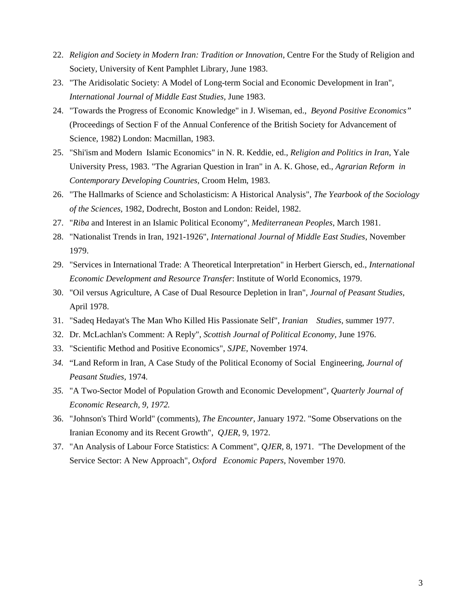- 22. *Religion and Society in Modern Iran: Tradition or Innovation*, Centre For the Study of Religion and Society, University of Kent Pamphlet Library, June 1983.
- 23. "The Aridisolatic Society: A Model of Long-term Social and Economic Development in Iran", *International Journal of Middle East Studies,* June 1983.
- 24. "Towards the Progress of Economic Knowledge" in J. Wiseman, ed., *Beyond Positive Economics"*  (Proceedings of Section F of the Annual Conference of the British Society for Advancement of Science, 1982) London: Macmillan, 1983.
- 25. "Shi'ism and Modern Islamic Economics" in N. R. Keddie, ed., *Religion and Politics in Iran*, Yale University Press, 1983. "The Agrarian Question in Iran" in A. K. Ghose, ed., *Agrarian Reform in Contemporary Developing Countries,* Croom Helm, 1983.
- 26. "The Hallmarks of Science and Scholasticism: A Historical Analysis", *The Yearbook of the Sociology of the Sciences,* 1982, Dodrecht, Boston and London: Reidel, 1982.
- 27. "*Riba* and Interest in an Islamic Political Economy", *Mediterranean Peoples*, March 1981.
- 28. "Nationalist Trends in Iran, 1921-1926", *International Journal of Middle East Studies*, November 1979.
- 29. "Services in International Trade: A Theoretical Interpretation" in Herbert Giersch, ed., *International Economic Development and Resource Transfer*: Institute of World Economics, 1979.
- 30. "Oil versus Agriculture, A Case of Dual Resource Depletion in Iran", *Journal of Peasant Studies,* April 1978.
- 31. "Sadeq Hedayat's The Man Who Killed His Passionate Self", *Iranian Studies*, summer 1977.
- 32. Dr. McLachlan's Comment: A Reply", *Scottish Journal of Political Economy*, June 1976.
- 33. "Scientific Method and Positive Economics", *SJPE*, November 1974.
- *34.* "Land Reform in Iran, A Case Study of the Political Economy of Social Engineering, *Journal of Peasant Studies,* 1974.
- *35.* "A Two-Sector Model of Population Growth and Economic Development", *Quarterly Journal of Economic Research, 9, 1972.*
- 36. "Johnson's Third World" (comments), *The Encounter*, January 1972. "Some Observations on the Iranian Economy and its Recent Growth", *QJER*, 9, 1972.
- 37. "An Analysis of Labour Force Statistics: A Comment", *QJER,* 8, 1971. "The Development of the Service Sector: A New Approach", *Oxford Economic Papers*, November 1970.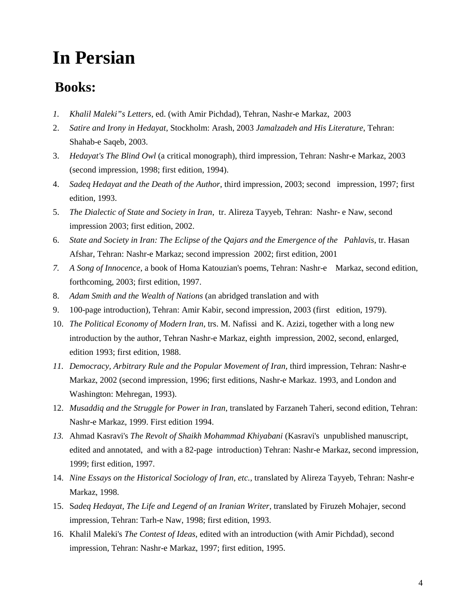# **In Persian**

### **Books:**

- *1. Khalil Maleki"s Letters*, ed. (with Amir Pichdad), Tehran, Nashr-e Markaz, 2003
- 2. *Satire and Irony in Hedayat*, Stockholm: Arash, 2003 *Jamalzadeh and His Literature*, Tehran: Shahab-e Saqeb, 2003.
- 3. *Hedayat's The Blind Owl* (a critical monograph), third impression, Tehran: Nashr-e Markaz, 2003 (second impression, 1998; first edition, 1994).
- 4. *Sadeq Hedayat and the Death of the Author*, third impression, 2003; second impression, 1997; first edition, 1993.
- 5. *The Dialectic of State and Society in Iran*, tr. Alireza Tayyeb, Tehran: Nashr- e Naw, second impression 2003; first edition, 2002.
- 6. *State and Society in Iran: The Eclipse of the Qajars and the Emergence of the Pahlavis*, tr. Hasan Afshar, Tehran: Nashr-e Markaz; second impression 2002; first edition, 2001
- *7. A Song of Innocence*, a book of Homa Katouzian's poems, Tehran: Nashr-e Markaz, second edition, forthcoming, 2003; first edition, 1997.
- 8. *Adam Smith and the Wealth of Nations* (an abridged translation and with
- 9. 100-page introduction), Tehran: Amir Kabir, second impression, 2003 (first edition, 1979).
- 10. *The Political Economy of Modern Iran*, trs. M. Nafissi and K. Azizi, together with a long new introduction by the author, Tehran Nashr-e Markaz, eighth impression, 2002, second, enlarged, edition 1993; first edition, 1988.
- *11. Democracy, Arbitrary Rule and the Popular Movement of Iran*, third impression, Tehran: Nashr-e Markaz, 2002 (second impression, 1996; first editions, Nashr-e Markaz. 1993, and London and Washington: Mehregan, 1993).
- 12. *Musaddiq and the Struggle for Power in Iran*, translated by Farzaneh Taheri, second edition, Tehran: Nashr-e Markaz, 1999. First edition 1994.
- *13.* Ahmad Kasravi's *The Revolt of Shaikh Mohammad Khiyabani* (Kasravi's unpublished manuscript, edited and annotated, and with a 82-page introduction) Tehran: Nashr-e Markaz, second impression, 1999; first edition, 1997.
- 14. *Nine Essays on the Historical Sociology of Iran, etc.,* translated by Alireza Tayyeb, Tehran: Nashr-e Markaz, 1998.
- 15. S*adeq Hedayat, The Life and Legend of an Iranian Writer*, translated by Firuzeh Mohajer, second impression, Tehran: Tarh-e Naw, 1998; first edition, 1993.
- 16. Khalil Maleki's *The Contest of Ideas*, edited with an introduction (with Amir Pichdad), second impression, Tehran: Nashr-e Markaz, 1997; first edition, 1995.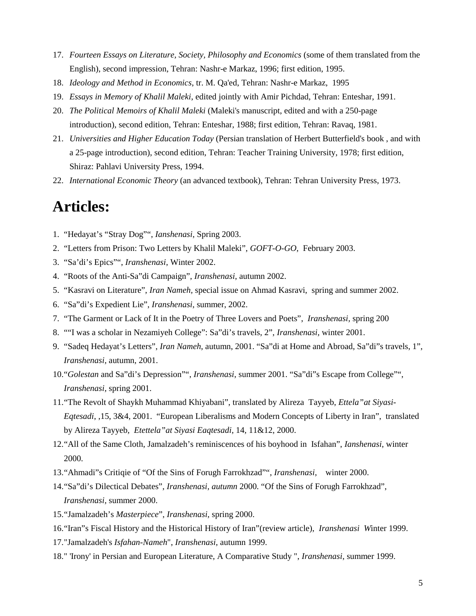- 17. *Fourteen Essays on Literature, Society, Philosophy and Economics* (some of them translated from the English), second impression, Tehran: Nashr-e Markaz, 1996; first edition, 1995.
- 18. *Ideology and Method in Economics*, tr. M. Qa'ed, Tehran: Nashr-e Markaz, 1995
- 19. *Essays in Memory of Khalil Maleki*, edited jointly with Amir Pichdad, Tehran: Enteshar, 1991.
- 20. *The Political Memoirs of Khalil Maleki* (Maleki's manuscript, edited and with a 250-page introduction), second edition, Tehran: Enteshar, 1988; first edition, Tehran: Ravaq, 1981.
- 21. *Universities and Higher Education Today* (Persian translation of Herbert Butterfield's book , and with a 25-page introduction), second edition, Tehran: Teacher Training University, 1978; first edition, Shiraz: Pahlavi University Press, 1994.
- 22. *International Economic Theory* (an advanced textbook), Tehran: Tehran University Press, 1973.

### **Articles:**

- 1. "Hedayat's "Stray Dog"", *Ianshenasi*, Spring 2003.
- 2. "Letters from Prison: Two Letters by Khalil Maleki", *GOFT-O-GO*, February 2003.
- 3. "Sa'di's Epics"", *Iranshenasi*, Winter 2002.
- 4. "Roots of the Anti-Sa"di Campaign", *Iranshenasi*, autumn 2002.
- 5. "Kasravi on Literature", *Iran Nameh,* special issue on Ahmad Kasravi, spring and summer 2002.
- 6. "Sa"di's Expedient Lie", *Iranshenasi*, summer, 2002.
- 7. "The Garment or Lack of It in the Poetry of Three Lovers and Poets", *Iranshenasi,* spring 200
- 8. ""I was a scholar in Nezamiyeh College": Sa"di's travels, 2", *Iranshenasi*, winter 2001.
- 9. "Sadeq Hedayat's Letters", *Iran Nameh*, autumn, 2001. "Sa"di at Home and Abroad, Sa"di"s travels, 1", *Iranshenasi*, autumn, 2001.
- 10. "*Golestan* and Sa"di's Depression"", *Iranshenasi*, summer 2001. "Sa"di"s Escape from College"", *Iranshenasi*, spring 2001.
- 11. "The Revolt of Shaykh Muhammad Khiyabani", translated by Alireza Tayyeb, *Ettela"at Siyasi-Eqtesadi*, ,15, 3&4, 2001. "European Liberalisms and Modern Concepts of Liberty in Iran", translated by Alireza Tayyeb, *Etettela"at Siyasi Eaqtesadi*, 14, 11&12, 2000.
- 12. "All of the Same Cloth, Jamalzadeh's reminiscences of his boyhood in Isfahan", *Ianshenasi*, winter 2000.
- 13. "Ahmadi"s Critiqie of "Of the Sins of Forugh Farrokhzad"", *Iranshenasi*, winter 2000.
- 14. "Sa"di's Dilectical Debates", *Iranshenasi, autumn* 2000. "Of the Sins of Forugh Farrokhzad", *Iranshenasi*, summer 2000.
- 15. "Jamalzadeh's *Masterpiece*", *Iranshenasi*, spring 2000.
- 16. "Iran"s Fiscal History and the Historical History of Iran"(review article), *Iranshenasi W*inter 1999.
- 17. "Jamalzadeh's *Isfahan-Nameh*", *Iranshenasi*, autumn 1999.
- 18. " 'Irony' in Persian and European Literature, A Comparative Study ", *Iranshenasi*, summer 1999.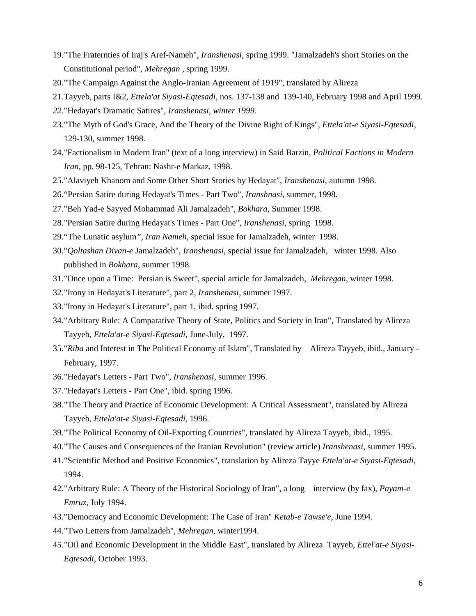- 19. "The Fraternties of Iraj's Aref-Nameh", *Iranshenasi*, spring 1999. "Jamalzadeh's short Stories on the Constitutional period", *Mehregan* , spring 1999.
- 20. "The Campaign Against the Anglo-Iranian Agreement of 1919", translated by Alireza
- 21. Tayyeb, parts I&2, *Ettela'at Siyasi-Eqtesadi,* nos. 137-138 and 139-140, February 1998 and April 1999.
- *22.* "Hedayat's Dramatic Satires", *Iranshenasi, winter 1999.*
- 23. "The Myth of God's Grace, And the Theory of the Divine Right of Kings", *Ettela'at-e Siyasi-Eqtesadi*, 129-130, summer 1998.
- 24. "Factionalism in Modern Iran" (text of a long interview) in Said Barzin, *Political Factions in Modern Iran*, pp. 98-125, Tehran: Nashr-e Markaz, 1998.
- 25. "Alaviyeh Khanom and Some Other Short Stories by Hedayat", *Iranshenasi*, autumn 1998.
- 26. "Persian Satire during Hedayat's Times Part Two", *Iranshnasi*, summer, 1998.
- 27. "Beh Yad-e Sayyed Mohammad Ali Jamalzadeh", *Bokhara*, Summer 1998.
- 28. "Persian Satire during Hedayat's Times Part One", *Iranshenasi*, spring 1998.
- 29. "The Lunatic asylum*"*, *Iran Nameh*, special issue for Jamalzadeh, winter 1998.
- 30. "*Qoltashan Divan-e* Jamalzadeh", *Iranshenasi*, special issue for Jamalzadeh, winter 1998. Also published in *Bokhara*, summer 1998.
- 31. "Once upon a Time: Persian is Sweet", special article for Jamalzadeh, *Mehregan*, winter 1998.
- 32. "Irony in Hedayat's Literature", part 2, *Iranshenasi*, summer 1997.
- 33. "Irony in Hedayat's Literature", part 1, ibid. spring 1997.
- 34. "Arbitrary Rule: A Comparative Theory of State, Politics and Society in Iran", Translated by Alireza Tayyeb, *Ettela'at-e Siyasi-Eqtesadi*, June-July, 1997.
- 35. "*Riba* and Interest in The Political Economy of Islam", Translated by Alireza Tayyeb, ibid., January February, 1997.
- 36. "Hedayat's Letters Part Two", *Iranshenasi*, summer 1996.
- 37. "Hedayat's Letters Part One", ibid. spring 1996.
- 38. "The Theory and Practice of Economic Development: A Critical Assessment", translated by Alireza Tayyeb, *Ettela'at-e Siyasi-Eqtesadi*, 1996.
- 39. "The Political Economy of Oil-Exporting Countries", translated by Alireza Tayyeb, ibid., 1995.
- 40. "The Causes and Consequences of the Iranian Revolution" (review article) *Iranshenasi*, summer 1995.
- 41. "Scientific Method and Positive Economics", translation by Alireza Tayye *Ettela'at-e Siyasi-Eqtesadi*, 1994.
- 42. "Arbitrary Rule: A Theory of the Historical Sociology of Iran", a long interview (by fax), *Payam-e Emruz,* July 1994.
- 43. "Democracy and Economic Development: The Case of Iran" *Ketab-e Tawse'e,* June 1994.
- 44. "Two Letters from Jamalzadeh", *Mehregan*, winter1994.
- 45. "Oil and Economic Development in the Middle East", translated by Alireza Tayyeb, *Ettel'at-e Siyasi-Eqtesadi*, October 1993.